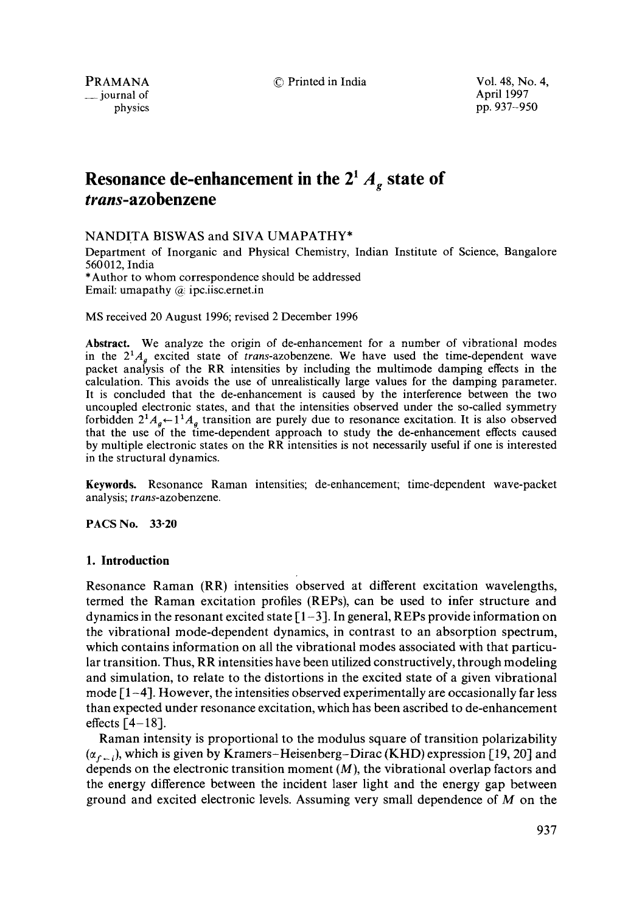PRAMANA **C** Printed in India Vol. 48, No. 4,

\_\_ journal of April 1997

physics pp. 937-950

# **Resonance de-enhancement in the**  $2^1 A$ **, state of** *trans-azobenzene*

NANDITA BISWAS and SIVA UMAPATHY\*

Department of Inorganic and Physical Chemistry, Indian Institute of Science, Bangalore 560012, India

\*Author to whom correspondence should be addressed Email: umapathy  $(a)$  ipc.iisc.ernet.in

MS received 20 August 1996; revised 2 December 1996

**Abstract.** We analyze the origin of de-enhancement for a number of vibrational modes in the  $2^1A<sub>a</sub>$  excited state of *trans*-azobenzene. We have used the time-dependent wave packet analysis of the RR intensities by including the multimode damping effects in the calculation. This avoids the use of unrealistically large values for the damping parameter. It is concluded that the de-enhancement is caused by the interference between the two uncoupled electronic states, and that the intensities observed under the so-called symmetry forbidden  $2^1A_g \leftarrow 1^1A_g$  transition are purely due to resonance excitation. It is also observed that the use of the time-dependent approach to study the de-enhancement effects caused by multiple electronic states on the RR intensities is not necessarily useful if one is interested in the structural dynamics.

**Keywords.** Resonance Raman intensities; de-enhancement; time-dependent wave-packet analysis; *trans-azobenzene.* 

PACS No. 33-20

# **1. Introduction**

Resonance Raman (RR) intensities observed at different excitation wavelengths, termed the Raman excitation profiles (REPs), can be used to infer structure and dynamics in the resonant excited state  $[1-3]$ . In general, REPs provide information on the vibrational mode-dependent dynamics, in contrast to an absorption spectrum, which contains information on all the vibrational modes associated with that particular transition. Thus, RR intensities have been utilized constructively, through modeling and simulation, to relate to the distortions in the excited state of a given vibrational mode  $[1-4]$ . However, the intensities observed experimentally are occasionally far less than expected under resonance excitation, which has been ascribed to de-enhancement effects  $[4-18]$ .

Raman intensity is proportional to the modulus square of transition polarizability  $(\alpha_{f-i})$ , which is given by Kramers–Heisenberg–Dirac (KHD) expression [19, 20] and depends on the electronic transition moment  $(M)$ , the vibrational overlap factors and the energy difference between the incident laser light and the energy gap between ground and excited electronic levels. Assuming very small dependence of M on the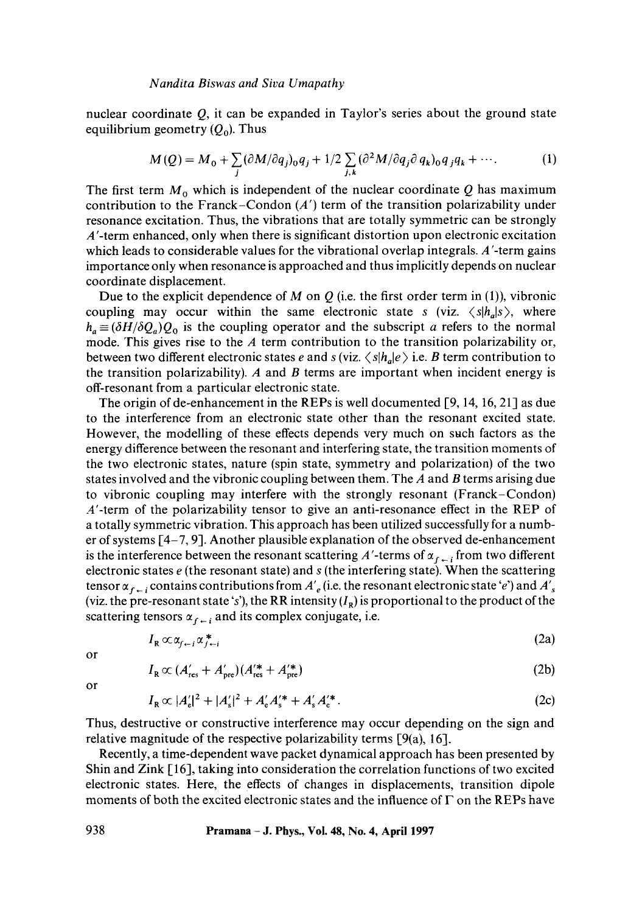nuclear coordinate  $Q$ , it can be expanded in Taylor's series about the ground state equilibrium geometry  $(Q_0)$ . Thus

$$
M(Q) = M_0 + \sum_j (\partial M/\partial q_j)_0 q_j + 1/2 \sum_{j,k} (\partial^2 M/\partial q_j \partial q_k)_0 q_j q_k + \cdots.
$$
 (1)

The first term  $M_0$  which is independent of the nuclear coordinate Q has maximum contribution to the Franck–Condon  $(A')$  term of the transition polarizability under resonance excitation. Thus, the vibrations that are totally symmetric can be strongly A'-term enhanced, only when there is significant distortion upon electronic excitation which leads to considerable values for the vibrational overlap integrals. A'-term gains importance only when resonance is approached and thus implicitly depends on nuclear coordinate displacement.

Due to the explicit dependence of M on Q (i.e. the first order term in (1)), vibronic coupling may occur within the same electronic state s (viz.  $\langle s|h_a|s \rangle$ , where  $h_a \equiv (\delta H/\delta Q_a)Q_0$  is the coupling operator and the subscript a refers to the normal mode. This gives rise to the  $A$  term contribution to the transition polarizability or, between two different electronic states e and s (viz.  $\langle s|h_n|e\rangle$ ) i.e. B term contribution to the transition polarizability). A and B terms are important when incident energy is off-resonant from a particular electronic state.

The origin of de-enhancement in the REPs is well documented [9, 14, 16, 21] as due to the interference from an electronic state other than the resonant excited state. However, the modelling of these effects depends very much on such factors as the energy difference between the resonant and interfering state, the transition moments of the two electronic states, nature (spin state, symmetry and polarization) of the two states involved and the vibronic coupling between them. The  $A$  and  $B$  terms arising due to vibronic coupling may interfere with the strongly resonant (Franck-Condon) A'-term of the polarizability tensor to give an anti-resonance effect in the REP of a totally symmetric vibration. This approach has been utilized successfully for a number of systems [4-7, 9]. Another plausible explanation of the observed de-enhancement is the interference between the resonant scattering A'-terms of  $\alpha_{f \leftarrow i}$  from two different electronic states  $e$  (the resonant state) and  $s$  (the interfering state). When the scattering tensor  $\alpha_{f+1}$  contains contributions from  $A'_e$  (i.e. the resonant electronic state 'e') and  $A'_s$ (viz. the pre-resonant state 's'), the RR intensity  $(I_R)$  is proportional to the product of the scattering tensors  $\alpha_{f-i}$  and its complex conjugate, i.e.

$$
I_{R} \propto \alpha_{f \leftarrow i} \alpha_{f \leftarrow i}^{*} \tag{2a}
$$

or

$$
I_{\rm R} \propto (A'_{\rm res} + A'_{\rm pre}) (A'^*_{\rm res} + A'^*_{\rm pre})
$$
 (2b)

or

$$
I_{R} \propto |A'_{e}|^{2} + |A'_{s}|^{2} + A'_{e}A'_{s}^{*} + A'_{s}A'_{e}^{*}.
$$
 (2c)

Thus, destructive or constructive interference may occur depending on the sign and relative magnitude of the respective polarizability terms [9(a), 16].

Recently, a time-dependent wave packet dynamical approach has been presented by Shin and Zink [16], taking into consideration the correlation functions of two excited electronic states. Here, the effects of changes in displacements, transition dipole moments of both the excited electronic states and the influence of  $\Gamma$  on the REPs have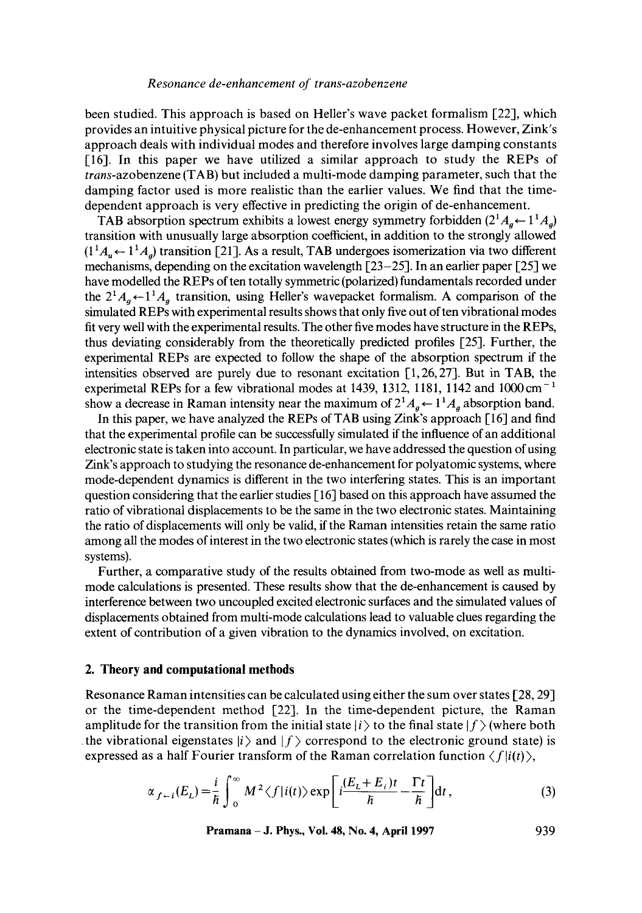been studied. This approach is based on Heller's wave packet formalism [22], which provides an intuitive physical picture for the de-enhancement process. However, Zink's approach deals with individual modes and therefore involves large damping constants [16]. In this paper we have utilized a similar approach to study the REPs of *trans-azobenzene* (TAB) but included a multi-mode damping parameter, such that the damping factor used is more realistic than the earlier values. We find that the timedependent approach is very effective in predicting the origin of de-enhancement.

TAB absorption spectrum exhibits a lowest energy symmetry forbidden  $(2^1A_a \leftarrow 1^1A_a)$ transition with unusually large absorption coefficient, in addition to the strongly allowed  $(1<sup>1</sup>A<sub>u</sub> \leftarrow 1<sup>1</sup>A<sub>a</sub>)$  transition [21]. As a result, TAB undergoes isomerization via two different mechanisms, depending on the excitation wavelength  $\lceil 23-25 \rceil$ . In an earlier paper  $\lceil 25 \rceil$  we have modelled the REPs of ten totally symmetric (polarized) fundamentals recorded under the  $2^1A_a \leftarrow 1^1A_a$  transition, using Heller's wavepacket formalism. A comparison of the simulated REPs with experimental results shows that only five out often vibrational modes fit very well with the experimental results. The other five modes have structure in the REPs, thus deviating considerably from the theoretically predicted profiles [25]. Further, the experimental REPs are expected to follow the shape of the absorption spectrum if the intensities observed are purely due to resonant excitation  $[1, 26, 27]$ . But in TAB, the experimetal REPs for a few vibrational modes at 1439, 1312, 1181, 1142 and 1000 cm<sup>-1</sup> show a decrease in Raman intensity near the maximum of  $2^1A_a \leftarrow 1^1A_a$  absorption band.

In this paper, we have analyzed the REPs of TAB using Zink's approach [16] and find that the experimental profile can be successfully simulated if the influence of an additional electronic state is taken into account. In particular, we have addressed the question of using Zink's approach to studying the resonance de-enhancement for polyatomic systems, where mode-dependent dynamics is different in the two interfering states. This is an important question considering that the earlier studies [ 16] based on this approach have assumed the ratio of vibrational displacements to be the same in the two electronic states. Maintaining the ratio of displacements will only be valid, if the Raman intensities retain the same ratio among all the modes of interest in the two electronic states (which is rarely the case in most systems).

Further, a comparative study of the results obtained from two-mode as well as multimode calculations is presented. These results show that the de-enhancement is caused by interference between two uncoupled excited electronic surfaces and the simulated values of displacements obtained from multi-mode calculations lead to valuable clues regarding the extent of contribution of a given vibration to the dynamics involved, on excitation.

#### **2. Theory and computational methods**

Resonance Raman intensities can be calculated using either the sum over states [28, 29] or the time-dependent method [22]. In the time-dependent picture, the Raman amplitude for the transition from the initial state  $|i\rangle$  to the final state  $|f\rangle$  (where both the vibrational eigenstates  $|i\rangle$  and  $|f\rangle$  correspond to the electronic ground state) is expressed as a half Fourier transform of the Raman correlation function  $\langle f|i(t)\rangle$ ,

$$
\alpha_{f-i}(E_L) = \frac{i}{\hbar} \int_0^\infty M^2 \langle f | i(t) \rangle \exp\left[i\frac{(E_L + E_i)t}{\hbar} - \frac{\Gamma t}{\hbar}\right] dt,
$$
\n(3)

**Pramana - J. Phys., Vol. 48, No. 4, April 1997 939**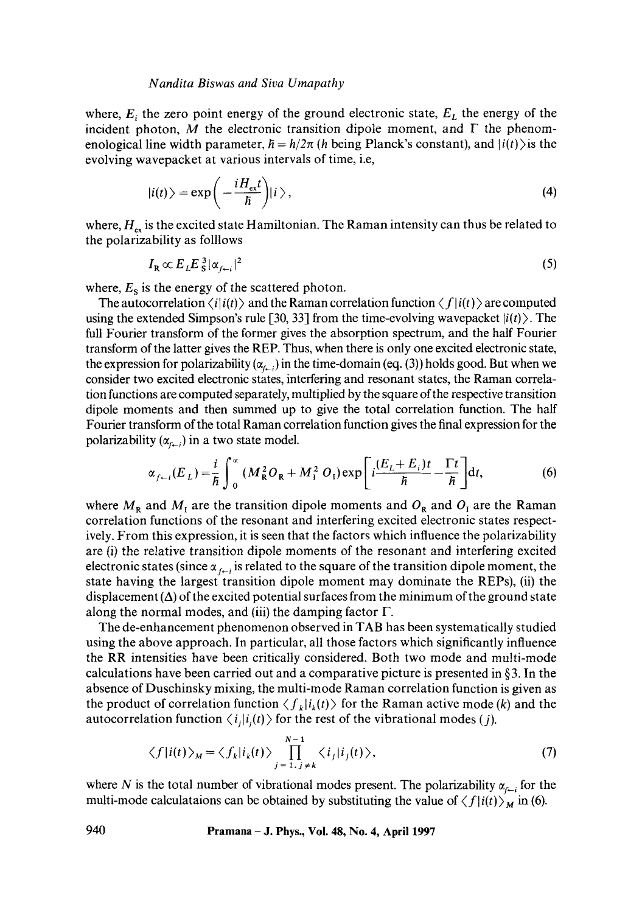where,  $E_i$ , the zero point energy of the ground electronic state,  $E_L$  the energy of the incident photon, M the electronic transition dipole moment, and  $\Gamma$  the phenomenological line width parameter,  $\bar{h} = h/2\pi$  (h being Planck's constant), and  $|i(t)\rangle$  is the evolving wavepacket at various intervals of time, i.e,

$$
|i(t)\rangle = \exp\bigg(-\frac{iH_{\rm ex}t}{\hbar}\bigg)|i\rangle\,,\tag{4}
$$

where,  $H_{ex}$  is the excited state Hamiltonian. The Raman intensity can thus be related to the polarizability as folllows

$$
I_{\mathbf{R}} \propto E_L E_S^3 |\alpha_{f \leftarrow i}|^2 \tag{5}
$$

where,  $E_s$  is the energy of the scattered photon.

The autocorrelation  $\langle i|i(t)\rangle$  and the Raman correlation function  $\langle f|i(t)\rangle$  are computed using the extended Simpson's rule [30, 33] from the time-evolving wavepacket  $|i(t)\rangle$ . The full Fourier transform of the former gives the absorption spectrum, and the half Fourier transform of the latter gives the REP. Thus, when there is only one excited electronic state, the expression for polarizability  $(\alpha_{i,j})$  in the time-domain (eq. (3)) holds good. But when we consider two excited electronic states, interfering and resonant states, the Raman correlation functions are computed separately, multiplied by the square of the respective transition dipole moments and then summed up to give the total correlation function. The half Fourier transform of the total Raman correlation function gives the final expression for the polarizability  $(\alpha_{f+1})$  in a two state model.

$$
\alpha_{f-i}(E_L) = \frac{i}{\hbar} \int_0^{\infty} (M_R^2 O_R + M_I^2 O_I) \exp\left[i\frac{(E_L + E_i)t}{\hbar} - \frac{\Gamma t}{\hbar}\right] dt,\tag{6}
$$

where  $M_R$  and  $M_I$  are the transition dipole moments and  $O_R$  and  $O_I$  are the Raman correlation functions of the resonant and interfering excited electronic states respectively. From this expression, it is seen that the factors which influence the polarizability are (i) the relative transition dipole moments of the resonant and interfering excited electronic states (since  $\alpha_{f-i}$  is related to the square of the transition dipole moment, the state having the largest transition dipole moment may dominate the REPs), (ii) the displacement  $(\Delta)$  of the excited potential surfaces from the minimum of the ground state along the normal modes, and (iii) the damping factor  $\Gamma$ .

The de-enhancement phenomenon observed in TAB has been systematically studied using the above approach. In particular, all those factors which significantly influence the RR intensities have been critically considered. Both two mode and multi-mode calculations have been carried out and a comparative picture is presented in §3. In the absence of Duschinsky mixing, the multi-mode Raman correlation function is given as the product of correlation function  $\langle f_k|i_k(t)\rangle$  for the Raman active mode (k) and the autocorrelation function  $\langle i_j|i_j(t)\rangle$  for the rest of the vibrational modes (*j*).

$$
\langle f|i(t)\rangle_M = \langle f_k|i_k(t)\rangle \prod_{j=1, j\neq k}^{N-1} \langle i_j|i_j(t)\rangle, \tag{7}
$$

where N is the total number of vibrational modes present. The polarizability  $\alpha_{f-1}$  for the multi-mode calculataions can be obtained by substituting the value of  $\langle f | i(t) \rangle_M$  in (6).

**940 Pramana - J. Phys., Vol. 48, No. 4, April 1997**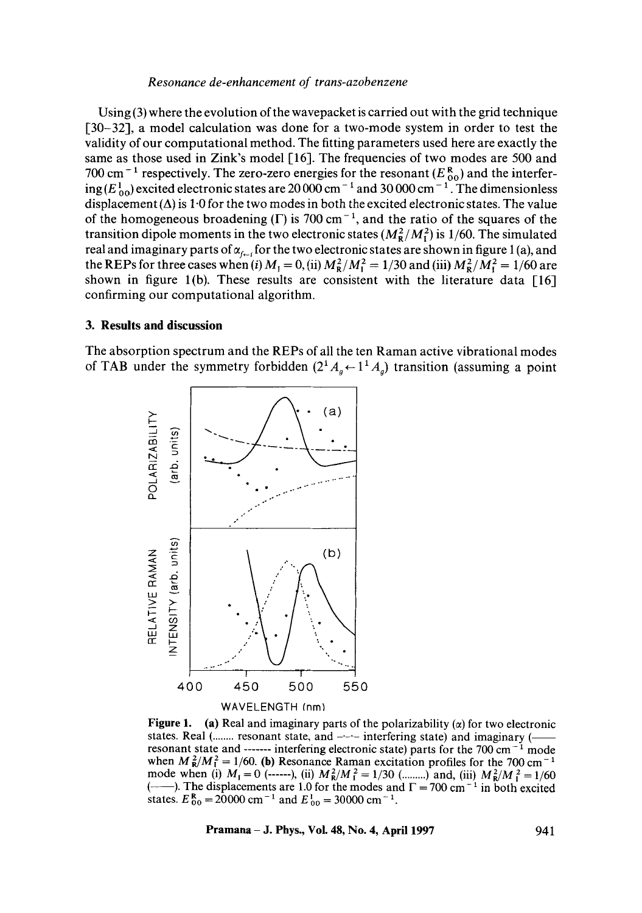Using (3) where the evolution of the wavepacket is carried out with the grid technique [30-32], a model calculation was done for a two-mode system in order to test the validity of our computational method. The fitting parameters used here are exactly the same as those used in Zink's model [16]. The frequencies of two modes are 500 and 700 cm<sup>-1</sup> respectively. The zero-zero energies for the resonant ( $E_{00}^{0}$ ) and the interfering (E  $_{00}^{10}$ ) excited electronic states are 20 000 cm<sup>-1</sup> and 30 000 cm<sup>-1</sup>. The dimensionless displacement  $(\Delta)$  is 1.0 for the two modes in both the excited electronic states. The value of the homogeneous broadening  $(\Gamma)$  is 700 cm<sup>-1</sup>, and the ratio of the squares of the transition dipole moments in the two electronic states  $(M_R^2/M_I^2)$  is 1/60. The simulated real and imaginary parts of  $\alpha_{f-1}$  for the two electronic states are shown in figure 1(a), and the REPs for three cases when (i)  $M_1 = 0$ , (ii)  $M_R^2/M_1^2 = 1/30$  and (iii)  $M_R^2/M_1^2 = 1/60$  are shown in figure 1(b). These results are consistent with the literature data  $[16]$ confirming our computational algorithm.

# **3. Results and discussion**

The absorption spectrum and the REPs of all the ten Raman active vibrational modes of TAB under the symmetry forbidden  $(2^1A_a\leftarrow 1^1A_a)$  transition (assuming a point



**Figure 1.** (a) Real and imaginary parts of the polarizability  $(\alpha)$  for two electronic states. Real (........ resonant state, and --- interfering state) and imaginary (resonant state and  $\cdots$  interfering electronic state) parts for the 700 cm<sup>-1</sup> mode when  $M_R^2/M_I^2 = 1/60$ . (b) Resonance Raman excitation profiles for the 700 cm<sup>-1</sup> mode when (i)  $M_{\rm I} = 0$  (------), (ii)  $M_{\rm R}^2 / M_{\rm I}^2 = 1/30$  (.........) and, (iii)  $M_{\rm R}^2 / M_{\rm I}^2 = 1/60$  $($ ——). The displacements are 1.0 for the modes and  $\Gamma = 700 \text{ cm}^{-1}$  in both excited states.  $E_{00}^{R} = 20000$  cm<sup>-1</sup> and  $E_{00}^{1} = 30000$  cm<sup>-1</sup>.

**Pramana – J. Phys., Vol. 48, No. 4, April 1997** 941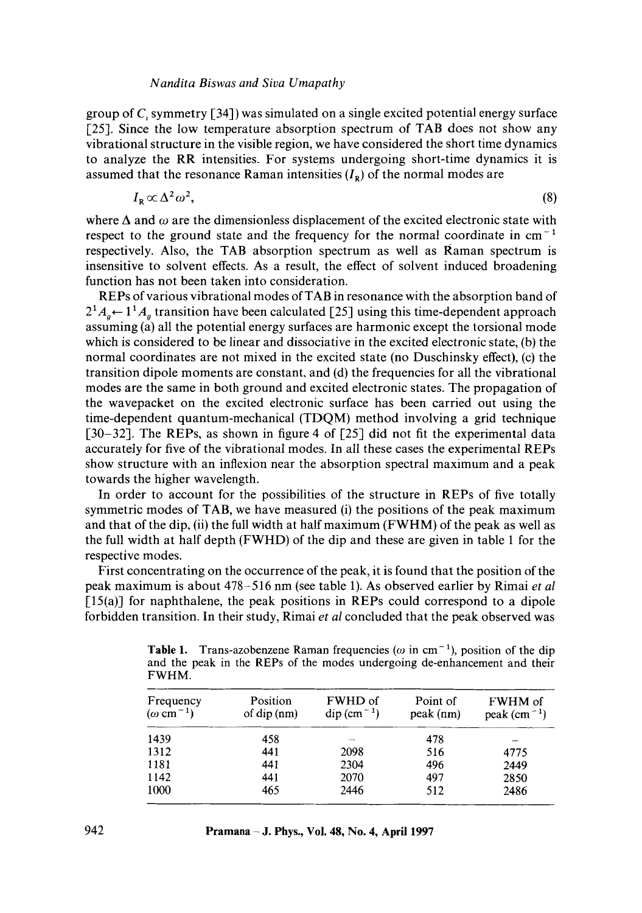group of  $C$ , symmetry [34]) was simulated on a single excited potential energy surface [25]. Since the low temperature absorption spectrum of TAB does not show any vibrational structure in the visible region, we have considered the short time dynamics to analyze the RR intensities. For systems undergoing short-time dynamics it is assumed that the resonance Raman intensities  $(I<sub>R</sub>)$  of the normal modes are

$$
I_{\mathbf{R}} \propto \Delta^2 \omega^2,\tag{8}
$$

where  $\Delta$  and  $\omega$  are the dimensionless displacement of the excited electronic state with respect to the ground state and the frequency for the normal coordinate in  $cm^{-1}$ respectively. Also, the TAB absorption spectrum as well as Raman spectrum is insensitive to solvent effects. As a result, the effect of solvent induced broadening function has not been taken into consideration.

REPs of various vibrational modes of TAB in resonance with the absorption band of  $2^1A_{a} \leftarrow 1^1A_{a}$  transition have been calculated [25] using this time-dependent approach assuming (a) all the potential energy surfaces are harmonic except the torsional mode which is considered to be linear and dissociative in the excited electronic state, (b) the normal coordinates are not mixed in the excited state (no Duschinsky effect), (c) the transition dipole moments are constant, and (d) the frequencies for all the vibrational modes are the same in both ground and excited electronic states. The propagation of the wavepacket on the excited electronic surface has been carried out using the time-dependent quantum-mechanical (TDQM) method involving a grid technique [30–32]. The REPs, as shown in figure 4 of [25] did not fit the experimental data accurately for five of the vibrational modes. In all these cases the experimental REPs show structure with an inflexion near the absorption spectral maximum and a peak towards the higher wavelength.

In order to account for the possibilities of the structure in REPs of five totally symmetric modes of TAB, we have measured (i) the positions of the peak maximum and that of the dip, (ii) the full width at half maximum (FWHM) of the peak as well as the full width at half depth (FWHD) of the dip and these are given in table 1 for the respective modes.

First concentrating on the occurrence of the peak, it is found that the position of the peak maximum is about 478-516 nm (see table 1). As observed earlier by Rimai *et al*   $[15(a)]$  for naphthalene, the peak positions in REPs could correspond to a dipole forbidden transition. In their study, Rimai *et al* concluded that the peak observed was

| .                                         |                                                   |                                                    |                       |                                 |  |  |
|-------------------------------------------|---------------------------------------------------|----------------------------------------------------|-----------------------|---------------------------------|--|--|
| Frequency<br>$(\omega \, \text{cm}^{-1})$ | Position<br>of $\text{dip}\left(\text{nm}\right)$ | FWHD of<br>$\text{dip}\left(\text{cm}^{-1}\right)$ | Point of<br>peak (nm) | FWHM of<br>peak $\rm (cm^{-1})$ |  |  |
| 1439                                      | 458                                               |                                                    | 478                   |                                 |  |  |
| 1312                                      | 441                                               | 2098                                               | 516                   | 4775                            |  |  |
| 1181                                      | 441                                               | 2304                                               | 496                   | 2449                            |  |  |
| 1142                                      | 441                                               | 2070                                               | 497                   | 2850                            |  |  |
| 1000                                      | 465                                               | 2446                                               | 512                   | 2486                            |  |  |

**Table 1.** Trans-azobenzene Raman frequencies ( $\omega$  in cm<sup>-1</sup>), position of the dip and the peak in the REPs of the modes undergoing de-enhancement and their FWHM.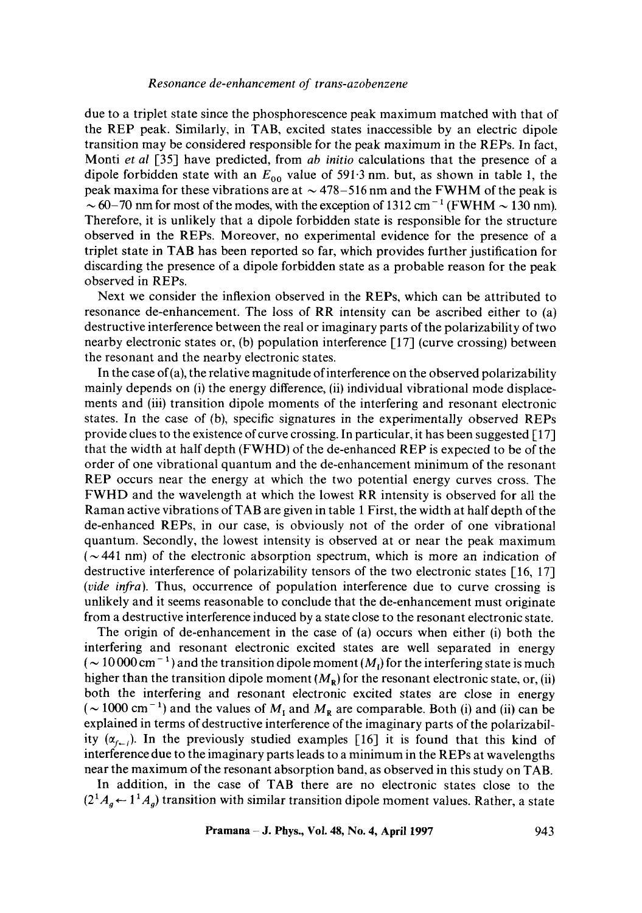due to a triplet state since the phosphorescence peak maximum matched with that of the REP peak. Similarly, in TAB, excited states inaccessible by an electric dipole transition may be considered responsible for the peak maximum in the REPs. In fact, Monti *et al* [35] have predicted, from *ab initio* calculations that the presence of a dipole forbidden state with an  $E_{00}$  value of 591.3 nm. but, as shown in table 1, the peak maxima for these vibrations are at  $\sim$  478-516 nm and the FWHM of the peak is  $\sim$  60-70 nm for most of the modes, with the exception of 1312 cm<sup>-1</sup> (FWHM  $\sim$  130 nm). Therefore, it is unlikely that a dipole forbidden state is responsible for the structure observed in the REPs. Moreover, no experimental evidence for the presence of a triplet state in TAB has been reported so far, which provides further justification for discarding the presence of a dipole forbidden state as a probable reason for the peak observed in REPs.

Next we consider the inflexion observed in the REPs, which can be attributed to resonance de-enhancement. The loss of RR intensity can be ascribed either to (a) destructive interference between the real or imaginary parts of the polarizability of two nearby electronic states or, (b) population interference [17] (curve crossing) between the resonant and the nearby electronic states.

In the case of  $(a)$ , the relative magnitude of interference on the observed polarizability mainly depends on (i) the energy difference, (ii) individual vibrational mode displacements and (iii) transition dipole moments of the interfering and resonant electronic states. In the case of (b), specific signatures in the experimentally observed REPs provide clues to the existence of curve crossing. In particular, it has been suggested [17] that the width at half depth (FWHD) of the de-enhanced REP is expected to be of the order of one vibrational quantum and the de-enhancement minimum of the resonant REP occurs near the energy at which the two potential energy curves cross. The FWHD and the wavelength at which the lowest RR intensity is observed for all the Raman active vibrations of TAB are given in table 1 First, the width at half depth of the de-enhanced REPs, in our case, is obviously not of the order of one vibrational quantum. Secondly, the lowest intensity is observed at or near the peak maximum  $({\sim}441 \text{ nm})$  of the electronic absorption spectrum, which is more an indication of destructive interference of polarizability tensors of the two electronic states [16, 17] *(vide infra).* Thus, occurrence of population interference due to curve crossing is unlikely and it seems reasonable to conclude that the de-enhancement must originate from a destructive interference induced by a state close to the resonant electronic state.

The origin of de-enhancement in the case of (a) occurs when either (i) both the interfering and resonant electronic excited states are well separated in energy  $({\sim}10000$  cm<sup>-1</sup>) and the transition dipole moment ( $M<sub>1</sub>$ ) for the interfering state is much higher than the transition dipole moment  $(M_R)$  for the resonant electronic state, or, (ii) both the interfering and resonant electronic excited states are close in energy ( $\sim$  1000 cm<sup>-1</sup>) and the values of  $M_I$  and  $M_R$  are comparable. Both (i) and (ii) can be explained in terms of destructive interference of the imaginary parts of the polarizability  $(\alpha_{i-j})$ . In the previously studied examples [16] it is found that this kind of interference due to the imaginary parts leads to a minimum in the REPs at wavelengths near the maximum of the resonant absorption band, as observed in this study on TAB.

In addition, in the case of TAB there are no electronic states close to the  $(2^1A_a \leftarrow 1^1A_a)$  transition with similar transition dipole moment values. Rather, a state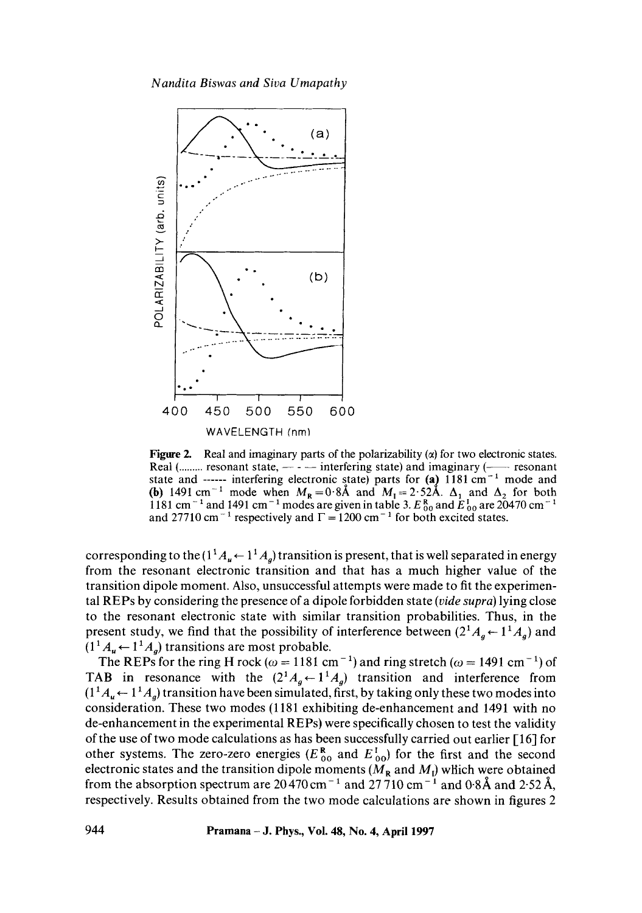

Figure 2. Real and imaginary parts of the polarizability  $(\alpha)$  for two electronic states. Real (......... resonant state,  $-$  -  $-$  interfering state) and imaginary ( $-$  resonant state and  $\frac{1}{2}$  interfering electronic state) parts for (a) 1181 cm<sup>-1</sup> mode and (b) 1491 cm<sup>-1</sup> mode when  $M_R = 0.8$ A and  $M_1 = 2.52$ A.  $\Delta_1$  and  $\Delta_2$  for both 1181 cm<sup>-1</sup> and 1491 cm<sup>-1</sup> modes are given in table 3.  $E_{00}^{R}$  and  $E_{00}^{L}$  are 20470 cm<sup>-1</sup> and 27710 cm<sup>-1</sup> respectively and  $\Gamma = 1200$  cm<sup>-1</sup> for both excited states.

corresponding to the  $(1^1A_u \leftarrow 1^1A_o)$  transition is present, that is well separated in energy from the resonant electronic transition and that has a much higher value of the transition dipole moment. Also, unsuccessful attempts were made to fit the experimental REPs by considering the presence of a dipole forbidden state *(vide supra)* lying close to the resonant electronic state with similar transition probabilities. Thus, in the present study, we find that the possibility of interference between  $(2^1A_q \leftarrow 1^1A_q)$  and  $(1<sup>1</sup>A<sub>u</sub> \leftarrow 1<sup>1</sup>A<sub>a</sub>)$  transitions are most probable.

The REPs for the ring H rock ( $\omega = 1181$  cm<sup>-1</sup>) and ring stretch ( $\omega = 1491$  cm<sup>-1</sup>) of TAB in resonance with the  $(2^1A_q \leftarrow 1^1A_q)$  transition and interference from  $(1^1 A_u \leftarrow 1^1 A_o)$  transition have been simulated, first, by taking only these two modes into consideration. These two modes (1181 exhibiting de-enhancement and 1491 with no de-enhancement in the experimental REPs) were specifically chosen to test the validity of the use of two mode calculations as has been successfully carried out earlier [16] for other systems. The zero-zero energies ( $E_{\alpha_0}^*$  and  $E_{\alpha_0}^*$ ) for the first and the second electronic states and the transition dipole moments ( $M_R$  and  $M_I$ ) which were obtained from the absorption spectrum are  $20\overline{470}$  cm<sup>-1</sup> and  $27\overline{710}$  cm<sup>-1</sup> and 0.8Å and 2.52Å, respectively. Results obtained from the two mode calculations are shown in figures 2

**944 Pramana - J. Phys., Vol. 48, No. 4, April 1997**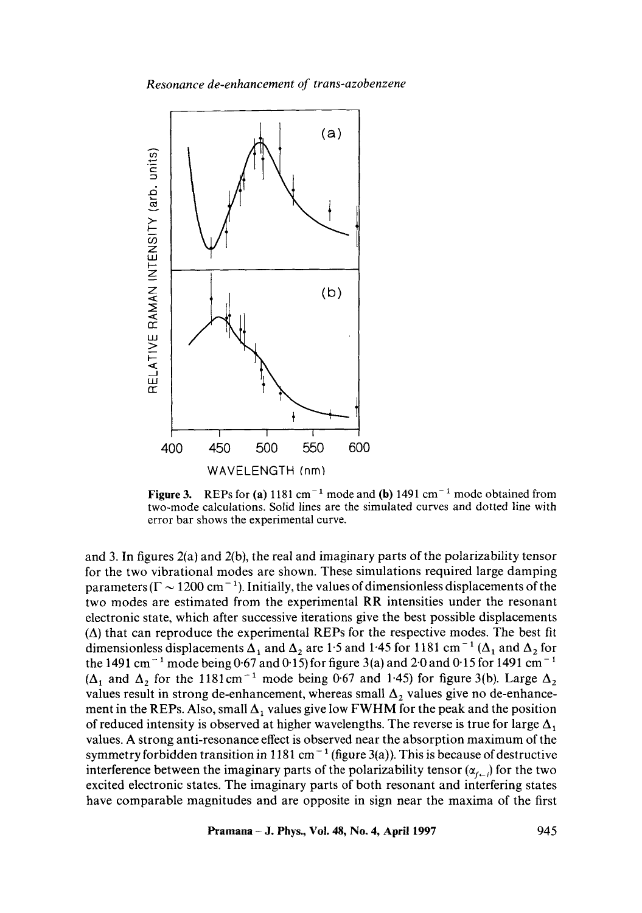*Resonance de-enhancement of trans-azobenzene* 



Figure 3. REPs for (a)  $1181 \text{ cm}^{-1}$  mode and (b)  $1491 \text{ cm}^{-1}$  mode obtained from two-mode calculations. Solid lines are the simulated curves and dotted line with error bar shows the experimental curve.

and 3. In figures 2(a) and 2(b), the real and imaginary parts of the polarizability tensor for the two vibrational modes are shown. These simulations required large damping parameters ( $\Gamma \sim 1200 \text{ cm}^{-1}$ ). Initially, the values of dimensionless displacements of the two modes are estimated from the experimental RR intensities under the resonant electronic state, which after successive iterations give the best possible displacements  $(\Delta)$  that can reproduce the experimental REPs for the respective modes. The best fit dimensionless displacements  $\Delta_1$  and  $\Delta_2$  are 1.5 and 1.45 for 1181 cm<sup>-1</sup> ( $\Delta_1$  and  $\Delta_2$  for the 1491 cm<sup>-1</sup> mode being 0.67 and 0.15) for figure 3(a) and 2.0 and 0.15 for 1491 cm<sup>-1</sup> ( $\Delta_1$  and  $\Delta_2$  for the 1181cm<sup>-1</sup> mode being 0.67 and 1.45) for figure 3(b). Large  $\Delta_2$ values result in strong de-enhancement, whereas small  $\Delta_2$  values give no de-enhancement in the REPs. Also, small  $\Delta_1$  values give low FWHM for the peak and the position of reduced intensity is observed at higher wavelengths. The reverse is true for large  $\Delta_1$ values. A strong anti-resonance effect is observed near the absorption maximum of the symmetry forbidden transition in 1181 cm<sup>-1</sup> (figure 3(a)). This is because of destructive interference between the imaginary parts of the polarizability tensor  $(\alpha_{f-1})$  for the two excited electronic states. The imaginary parts of both resonant and interfering states have comparable magnitudes and are opposite in sign near the maxima of the first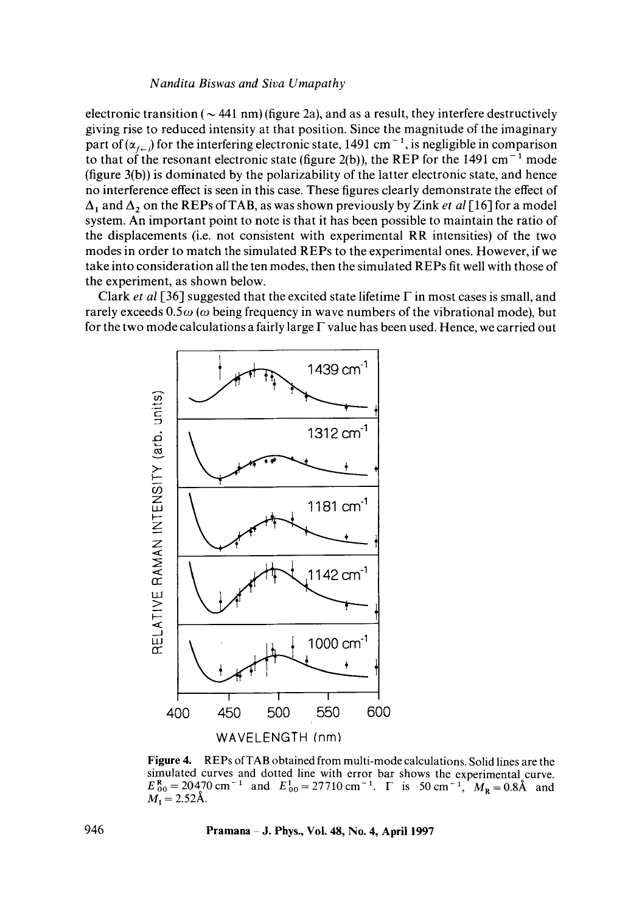electronic transition ( $\sim$  441 nm) (figure 2a), and as a result, they interfere destructively giving rise to reduced intensity at that position. Since the magnitude of the imaginary part of ( $\alpha_{f-1}$ ) for the interfering electronic state, 1491 cm<sup>-1</sup>, is negligible in comparison to that of the resonant electronic state (figure 2(b)), the REP for the 1491 cm<sup>-1</sup> mode (figure 3(b)) is dominated by the polarizability of the latter electronic state, and hence no interference effect is seen in this case. These figures clearly demonstrate the effect of  $\Delta_1$  and  $\Delta_2$  on the REPs of TAB, as was shown previously by Zink *et al* [16] for a model system. An important point to note is that it has been possible to maintain the ratio of the displacements (i.e. not consistent with experimental RR intensities) of the two modes in order to match the simulated REPs to the experimental ones. However, if we take into consideration all the ten modes, then the simulated REPs fit well with those of the experiment, as shown below.

Clark *et al* [36] suggested that the excited state lifetime  $\Gamma$  in most cases is small, and rarely exceeds  $0.5\omega$  ( $\omega$  being frequency in wave numbers of the vibrational mode), but for the two mode calculations a fairly large  $\Gamma$  value has been used. Hence, we carried out



**Figure** 4. REPs of TAB obtained from multi-mode calculations. Solid lines are the simulated curves and dotted line with error bar shows the experimental curve.  $E_{00}^{R} = 20470 \text{ cm}^{-1}$  and  $E_{00}^{1} = 27710 \text{ cm}^{-1}$ .  $\Gamma$  is 50 cm<sup>-1</sup>,  $M_{R} = 0.8\text{\AA}$  and  $M_{\rm I} = 2.52\text{\AA}.$ 

**946 Pramana J. Phys., Vol. 48, No. 4, April 1997**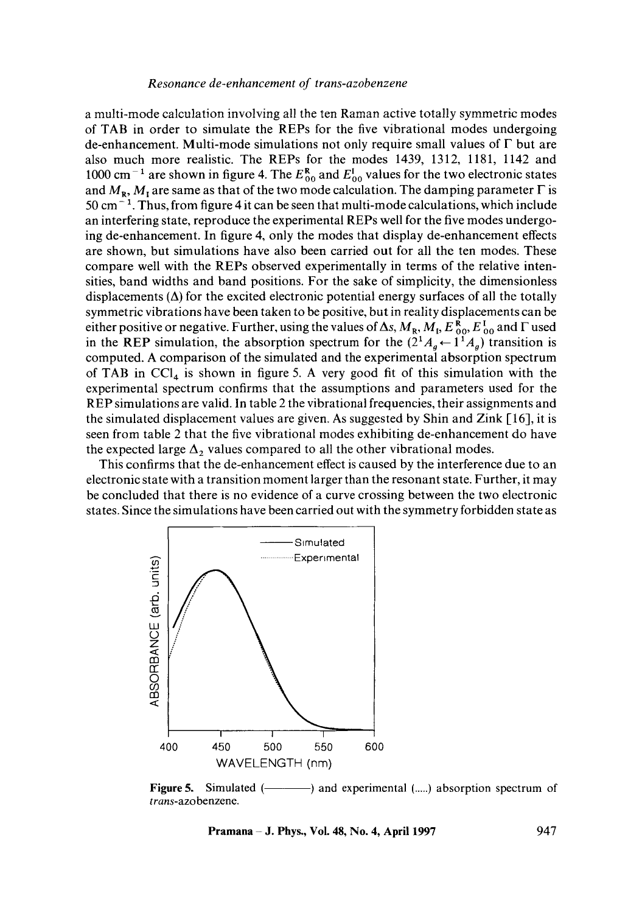a multi-mode calculation involving all the ten Raman active totally symmetric modes of TAB in order to simulate the REPs for the five vibrational modes undergoing de-enhancement. Multi-mode simulations not only require small values of F but **are**  also much more realistic. The REPs for the modes 1439, 1312, 1181, 1142 and 1000 cm<sup>-1</sup> are shown in figure 4. The  $E_{00}^{R}$  and  $E_{00}^{I}$  values for the two electronic states and  $M_{\rm R}$ ,  $M_{\rm I}$  are same as that of the two mode calculation. The damping parameter  $\Gamma$  is  $50 \text{ cm}^{-1}$ . Thus, from figure 4 it can be seen that multi-mode calculations, which include an interfering state, reproduce the experimental REPs well for the five modes undergoing de-enhancement. In figure 4, only the modes that display de-enhancement effects are shown, but simulations have also been carried out for all the ten modes. These compare well with the REPs observed experimentally in terms of the relative intensities, band widths and band positions. For the sake of simplicity, the dimensionless displacements  $(\Delta)$  for the excited electronic potential energy surfaces of all the totally symmetric vibrations have been taken to be positive, but in reality displacements can be either positive or negative. Further, using the values of  $\Delta s$ ,  $M_R$ ,  $M_L$ ,  $E_{00}^R$ ,  $E_{00}^I$  and  $\Gamma$  used in the REP simulation, the absorption spectrum for the  $(2^1A_a \leftarrow 1^1A_a)$  transition is computed. A comparison of the simulated and the experimental absorption spectrum of TAB in  $\text{CCI}_4$  is shown in figure 5. A very good fit of this simulation with the experimental spectrum confirms that the assumptions and parameters used for the REP simulations are valid. In table 2 the vibrational frequencies, their assignments and the simulated displacement values are given. As suggested by Shin and Zink [16], it is seen from table 2 that the five vibrational modes exhibiting de-enhancement do have the expected large  $\Delta_2$  values compared to all the other vibrational modes.

This confirms that the de-enhancement effect is caused by the interference due to an electronic state with a transition moment larger than the resonant state. Further, it may be concluded that there is no evidence of a curve crossing between the two electronic states. Since the simulations have been carried out with the symmetry forbidden state as



**Figure5. Simulated ( )** and experimental (.....) absorption spectrum of *trans-azobenzene.* 

**Pramana – J. Phys., Vol. 48, No. 4, April 1997** 947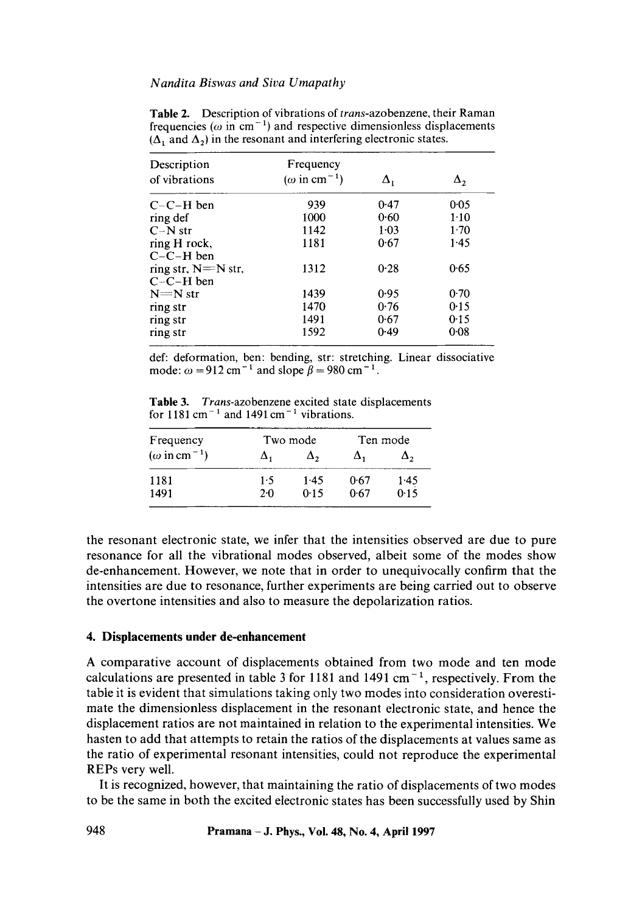|      |                                               | Δ,       |
|------|-----------------------------------------------|----------|
|      |                                               |          |
| 939  | 0.47                                          | 0.05     |
| 1000 | 0.60                                          | $1-10$   |
| 1142 | 1.03                                          | $1-70$   |
| 1181 | 0.67                                          | 1.45     |
|      |                                               |          |
| 1312 | 0.28                                          | 0.65     |
|      |                                               |          |
| 1439 | 0.95                                          | 0.70     |
| 1470 | 0.76                                          | 0.15     |
| 1491 | 0.67                                          | 0.15     |
| 1592 | 0.49                                          | $0 - 08$ |
|      | Frequency<br>( $\omega$ in cm <sup>-1</sup> ) | Δ,       |

**Table** 2. Description of vibrations of *trans-azobenzene,* their Raman frequencies ( $\omega$  in cm<sup>-1</sup>) and respective dimensionless displacements  $(\Delta_1$  and  $\Delta_2$ ) in the resonant and interfering electronic states.

def: deformation, ben: bending, str: stretching. Linear dissociative mode:  $\omega = 912$  cm<sup>-1</sup> and slope  $\beta = 980$  cm<sup>-1</sup>.

Table 3. *Trans-azobenzene* excited state displacements for  $1181 \text{ cm}^{-1}$  and  $1491 \text{ cm}^{-1}$  vibrations.

| Frequency                     |     | Two mode | Ten mode |      |
|-------------------------------|-----|----------|----------|------|
| $(\omega \text{ in cm}^{-1})$ |     | Δ,       | Δ.       | Δ,   |
| 1181                          | 1.5 | 1.45     | 0.67     | 1.45 |
| 1491                          | 20  | 0.15     | 0.67     | 0.15 |

the resonant electronic state, we infer that the intensities observed are due to pure resonance for all the vibrational modes observed, albeit some of the modes show de-enhancement. However, we note that in order to unequivocally confirm that the intensities are due to resonance, further experiments are being carried out to observe the overtone intensities and also to measure the depolarization ratios.

# **4. Displacements under de-enhancement**

A comparative account of displacements obtained from two mode and ten mode calculations are presented in table 3 for 1181 and 1491 cm<sup>-1</sup>, respectively. From the table it is evident that simulations taking only two modes into consideration overestimate the dimensionless displacement in the resonant electronic state, and hence the displacement ratios are not maintained in relation to the experimental intensities. We hasten to add that attempts to retain the ratios of the displacements at values same as the ratio of experimental resonant intensities, could not reproduce the experimental REPs very well.

It is recognized, however, that maintaining the ratio of displacements of two modes to be the same in both the excited electronic states has been successfully used by Shin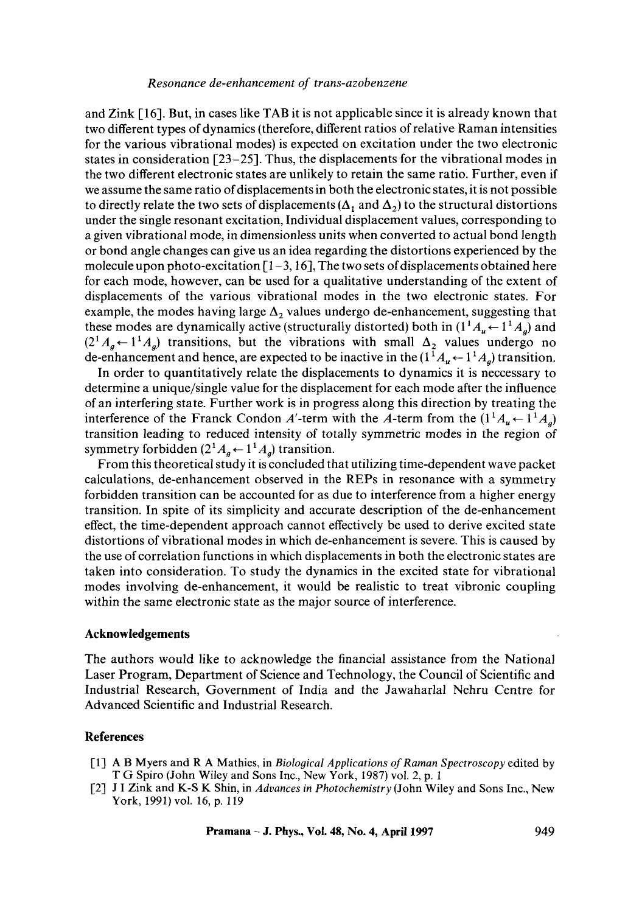and Zink [16]. But, in cases like TAB it is not applicable since it is already known that two different types of dynamics (therefore, different ratios of relative Raman intensities for the various vibrational modes) is expected on excitation under the two electronic states in consideration  $\lceil 23-25 \rceil$ . Thus, the displacements for the vibrational modes in the two different electronic states are unlikely to retain the same ratio. Further, even if we assume the same ratio of displacements in both the electronic states, it is not possible to directly relate the two sets of displacements  $(\Delta_1$  and  $\Delta_2)$  to the structural distortions under the single resonant excitation, Individual displacement values, corresponding to a given vibrational mode, in dimensionless units when converted to actual bond length or bond angle changes can give us an idea regarding the distortions experienced by the molecule upon photo-excitation  $[1-3, 16]$ , The two sets of displacements obtained here for each mode, however, can be used for a qualitative understanding of the extent of displacements of the various vibrational modes in the two electronic states. For example, the modes having large  $\Delta_2$  values undergo de-enhancement, suggesting that these modes are dynamically active (structurally distorted) both in  $(1^1A_u \leftarrow 1^1A_a)$  and  $(2^1A_g + 1^1A_g)$  transitions, but the vibrations with small  $\Delta_2$  values undergo no de-enhancement and hence, are expected to be inactive in the  $(1^1A_u \leftarrow 1^1A_a)$  transition.

In order to quantitatively relate the displacements to dynamics it is neccessary to determine a unique/single value for the displacement for each mode after the influence of an interfering state. Further work is in progress along this direction by treating the interference of the Franck Condon A'-term with the A-term from the  $(1^1A_u \leftarrow 1^1A_a)$ transition leading to reduced intensity of totally symmetric modes in the region of symmetry forbidden  $(2^1A_a \leftarrow 1^1A_a)$  transition.

From this theoretical study it is concluded that utilizing time-dependent wave packet calculations, de-enhancement observed in the REPs in resonance with a symmetry forbidden transition can be accounted for as due to interference from a higher energy transition. In spite of its simplicity and accurate description of the de-enhancement effect, the time-dependent approach cannot effectively be used to derive excited state distortions of vibrational modes in which de-enhancement is severe. This is caused by the use of correlation functions in which displacements in both the electronic states are taken into consideration. To study the dynamics in the excited state for vibrational modes involving de-enhancement, it would be realistic to treat vibronic coupling within the same electronic state as the major source of interference.

## **Acknowledgements**

The authors would like to acknowledge the financial assistance from the National Laser Program, Department of Science and Technology, the Council of Scientific and Industrial Research, Government of India and the Jawaharlal Nehru Centre for Advanced Scientific and Industrial Research.

### **References**

- [1] A B Myers and R A Mathies, in *Biological Applications of Raman Spectroscopy* edited by T G Spiro (John Wiley and Sons Inc., New York, 1987) vol. 2, p. 1
- [2] J I Zink and K-S K Shin, in *Advances in Photochemistry* (John Wiley and Sons Inc., New York, 1991) vol. 16, p. 119